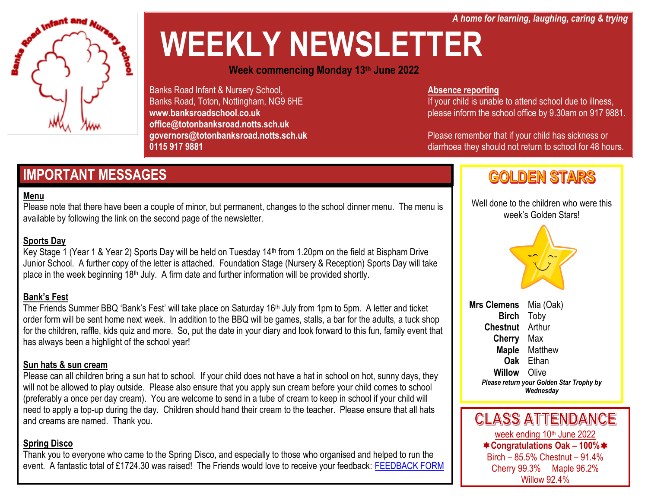*A home for learning, laughing, caring & trying*



# **WEEKLY NEWSLETTER**

**Week commencing Monday 13th June 2022**

Banks Road Infant & Nursery School, Banks Road, Toton, Nottingham, NG9 6HE **www.banksroadschool.co.uk office@totonbanksroad.notts.sch.uk governors@totonbanksroad.notts.sch.uk 0115 917 9881**

### **IMPORTANT MESSAGES**

#### **Menu**

Please note that there have been a couple of minor, but permanent, changes to the school dinner menu. The menu is available by following the link on the second page of the newsletter.

#### **Sports Day**

Key Stage 1 (Year 1 & Year 2) Sports Day will be held on Tuesday 14th from 1.20pm on the field at Bispham Drive Junior School. A further copy of the letter is attached. Foundation Stage (Nursery & Reception) Sports Day will take place in the week beginning 18<sup>th</sup> July. A firm date and further information will be provided shortly.

#### **Bank's Fest**

The Friends Summer BBQ 'Bank's Fest' will take place on Saturday 16<sup>th</sup> July from 1pm to 5pm. A letter and ticket order form will be sent home next week. In addition to the BBQ will be games, stalls, a bar for the adults, a tuck shop for the children, raffle, kids quiz and more. So, put the date in your diary and look forward to this fun, family event that has always been a highlight of the school year!

#### **Sun hats & sun cream**

Please can all children bring a sun hat to school. If your child does not have a hat in school on hot, sunny days, they will not be allowed to play outside. Please also ensure that you apply sun cream before your child comes to school (preferably a once per day cream). You are welcome to send in a tube of cream to keep in school if your child will need to apply a top-up during the day. Children should hand their cream to the teacher. Please ensure that all hats and creams are named. Thank you.

#### **Spring Disco**

Thank you to everyone who came to the Spring Disco, and especially to those who organised and helped to run the event. A fantastic total of £1724.30 was raised! The Friends would love to receive your feedback: [FEEDBACK FORM](https://docs.google.com/forms/d/e/1FAIpQLSezWFZSCm_Im4jFG4E3TuLvXdwu6g4ISNgW0SrO5pUaf-WVeg/viewform?usp=sf_link)

#### **Absence reporting**

If your child is unable to attend school due to illness, please inform the school office by 9.30am on 917 9881.

Please remember that if your child has sickness or diarrhoea they should not return to school for 48 hours.

## **GOLDEN STARS**

Well done to the children who were this week's Golden Stars!



**Mrs Clemens** Mia (Oak) **Birch** Toby **Chestnut** Arthur **Cherry** Max **Maple** Matthew **Oak** Ethan **Willow** Olive *Please return your Golden Star Trophy by Wednesday*